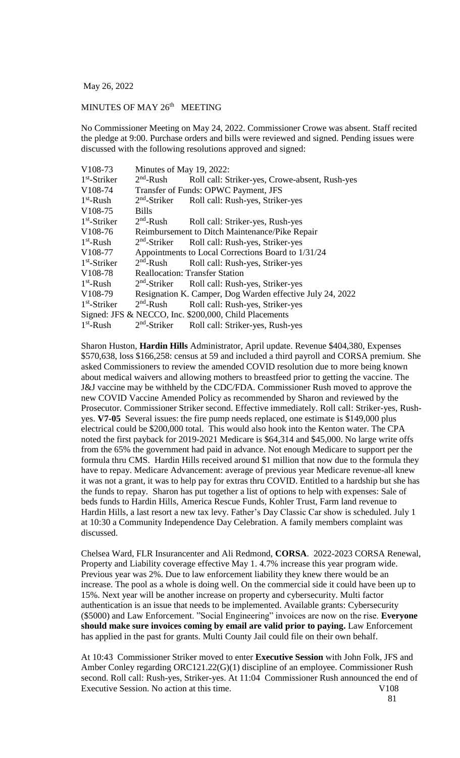May 26, 2022

## MINUTES OF MAY 26<sup>th</sup> MEETING

No Commissioner Meeting on May 24, 2022. Commissioner Crowe was absent. Staff recited the pledge at 9:00. Purchase orders and bills were reviewed and signed. Pending issues were discussed with the following resolutions approved and signed:

| V108-73        | Minutes of May 19, 2022:                           |                                                           |  |
|----------------|----------------------------------------------------|-----------------------------------------------------------|--|
| $1st$ -Striker | $2nd$ -Rush                                        | Roll call: Striker-yes, Crowe-absent, Rush-yes            |  |
| V108-74        | Transfer of Funds: OPWC Payment, JFS               |                                                           |  |
| $1st$ -Rush    | $2nd$ -Striker                                     | Roll call: Rush-yes, Striker-yes                          |  |
| V108-75        | <b>Bills</b>                                       |                                                           |  |
| $1st$ -Striker | $2nd$ -Rush                                        | Roll call: Striker-yes, Rush-yes                          |  |
| V108-76        |                                                    | Reimbursement to Ditch Maintenance/Pike Repair            |  |
| $1st$ -Rush    | $2nd$ -Striker                                     | Roll call: Rush-yes, Striker-yes                          |  |
| V108-77        | Appointments to Local Corrections Board to 1/31/24 |                                                           |  |
| $1st$ -Striker | $2nd$ -Rush                                        | Roll call: Rush-yes, Striker-yes                          |  |
| V108-78        |                                                    | <b>Reallocation: Transfer Station</b>                     |  |
| $1st$ -Rush    | $2nd$ -Striker                                     | Roll call: Rush-yes, Striker-yes                          |  |
| V108-79        |                                                    | Resignation K. Camper, Dog Warden effective July 24, 2022 |  |
| $1st$ -Striker | $2nd$ -Rush                                        | Roll call: Rush-yes, Striker-yes                          |  |
|                |                                                    | Signed: JFS & NECCO, Inc. \$200,000, Child Placements     |  |
| $1st$ -Rush    | $2nd$ -Striker                                     | Roll call: Striker-yes, Rush-yes                          |  |

Sharon Huston, **Hardin Hills** Administrator, April update. Revenue \$404,380, Expenses \$570,638, loss \$166,258: census at 59 and included a third payroll and CORSA premium. She asked Commissioners to review the amended COVID resolution due to more being known about medical waivers and allowing mothers to breastfeed prior to getting the vaccine. The J&J vaccine may be withheld by the CDC/FDA. Commissioner Rush moved to approve the new COVID Vaccine Amended Policy as recommended by Sharon and reviewed by the Prosecutor. Commissioner Striker second. Effective immediately. Roll call: Striker-yes, Rushyes. **V7-05** Several issues: the fire pump needs replaced, one estimate is \$149,000 plus electrical could be \$200,000 total. This would also hook into the Kenton water. The CPA noted the first payback for 2019-2021 Medicare is \$64,314 and \$45,000. No large write offs from the 65% the government had paid in advance. Not enough Medicare to support per the formula thru CMS. Hardin Hills received around \$1 million that now due to the formula they have to repay. Medicare Advancement: average of previous year Medicare revenue-all knew it was not a grant, it was to help pay for extras thru COVID. Entitled to a hardship but she has the funds to repay. Sharon has put together a list of options to help with expenses: Sale of beds funds to Hardin Hills, America Rescue Funds, Kohler Trust, Farm land revenue to Hardin Hills, a last resort a new tax levy. Father's Day Classic Car show is scheduled. July 1 at 10:30 a Community Independence Day Celebration. A family members complaint was discussed.

Chelsea Ward, FLR Insurancenter and Ali Redmond, **CORSA**. 2022-2023 CORSA Renewal, Property and Liability coverage effective May 1. 4.7% increase this year program wide. Previous year was 2%. Due to law enforcement liability they knew there would be an increase. The pool as a whole is doing well. On the commercial side it could have been up to 15%. Next year will be another increase on property and cybersecurity. Multi factor authentication is an issue that needs to be implemented. Available grants: Cybersecurity (\$5000) and Law Enforcement. "Social Engineering" invoices are now on the rise. **Everyone should make sure invoices coming by email are valid prior to paying.** Law Enforcement has applied in the past for grants. Multi County Jail could file on their own behalf.

At 10:43 Commissioner Striker moved to enter **Executive Session** with John Folk, JFS and Amber Conley regarding ORC121.22(G)(1) discipline of an employee. Commissioner Rush second. Roll call: Rush-yes, Striker-yes. At 11:04 Commissioner Rush announced the end of Executive Session. No action at this time. V108